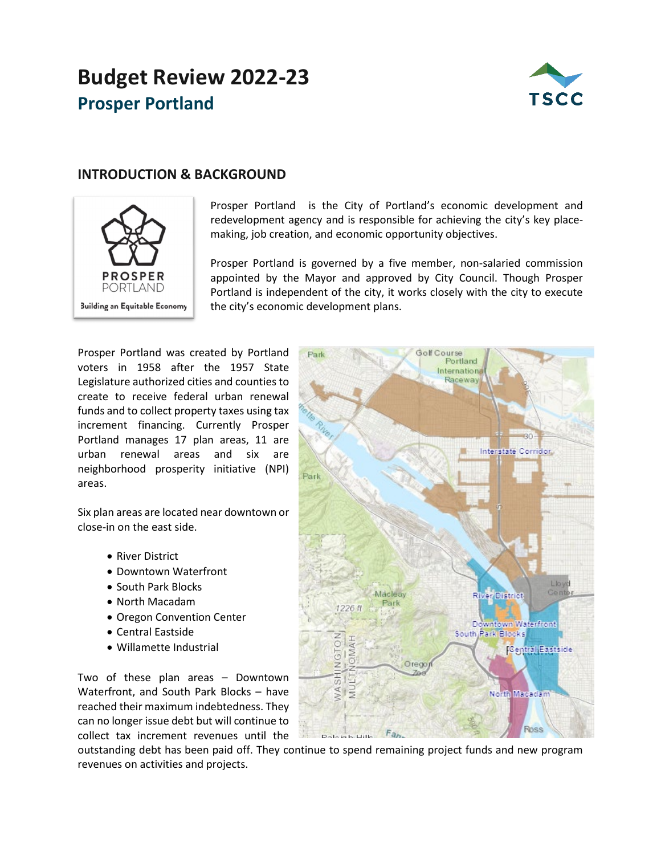# **Budget Review 2022-23 Prosper Portland**



## **INTRODUCTION & BACKGROUND**



Prosper Portland is the City of Portland's economic development and redevelopment agency and is responsible for achieving the city's key placemaking, job creation, and economic opportunity objectives.

Prosper Portland is governed by a five member, non-salaried commission appointed by the Mayor and approved by City Council. Though Prosper Portland is independent of the city, it works closely with the city to execute the city's economic development plans.

Prosper Portland was created by Portland voters in 1958 after the 1957 State Legislature authorized cities and counties to create to receive federal urban renewal funds and to collect property taxes using tax increment financing. Currently Prosper Portland manages 17 plan areas, 11 are urban renewal areas and six are neighborhood prosperity initiative (NPI) areas.

Six plan areas are located near downtown or close-in on the east side.

- River District
- Downtown Waterfront
- South Park Blocks
- North Macadam
- Oregon Convention Center
- Central Eastside
- Willamette Industrial

Two of these plan areas – Downtown Waterfront, and South Park Blocks – have reached their maximum indebtedness. They can no longer issue debt but will continue to collect tax increment revenues until the



outstanding debt has been paid off. They continue to spend remaining project funds and new program revenues on activities and projects.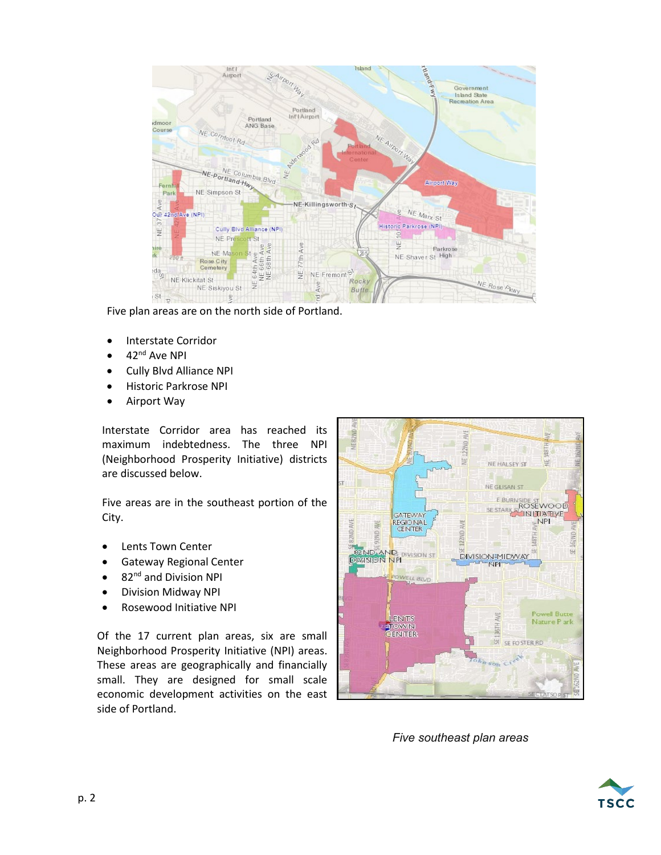

Five plan areas are on the north side of Portland.

- Interstate Corridor
- 42<sup>nd</sup> Ave NPI
- Cully Blvd Alliance NPI
- Historic Parkrose NPI
- Airport Way

Interstate Corridor area has reached its maximum indebtedness. The three NPI (Neighborhood Prosperity Initiative) districts are discussed below.

Five areas are in the southeast portion of the City.

- Lents Town Center
- Gateway Regional Center
- 82<sup>nd</sup> and Division NPI
- Division Midway NPI
- Rosewood Initiative NPI

Of the 17 current plan areas, six are small Neighborhood Prosperity Initiative (NPI) areas. These areas are geographically and financially small. They are designed for small scale economic development activities on the east side of Portland.



*Five southeast plan areas*

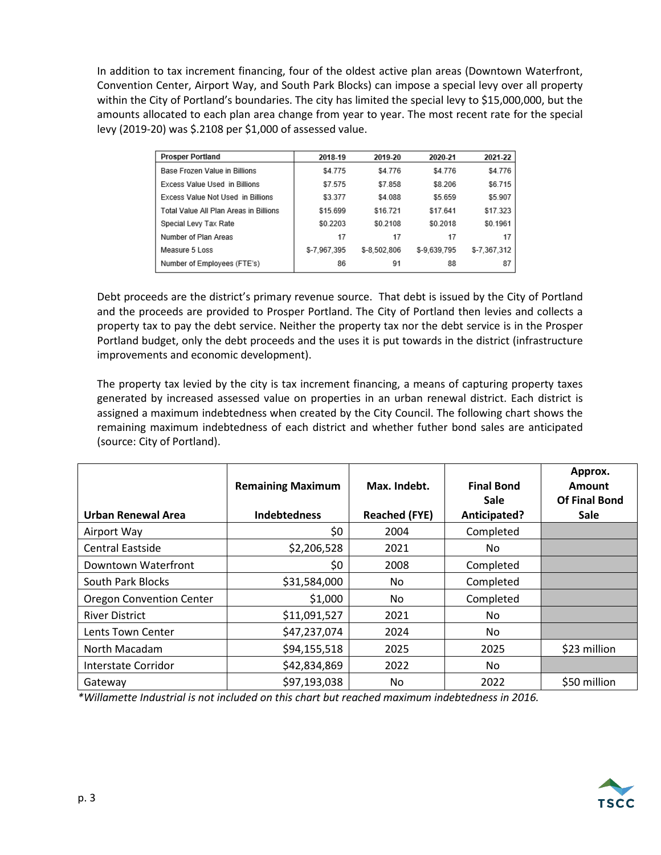In addition to tax increment financing, four of the oldest active plan areas (Downtown Waterfront, Convention Center, Airport Way, and South Park Blocks) can impose a special levy over all property within the City of Portland's boundaries. The city has limited the special levy to \$15,000,000, but the amounts allocated to each plan area change from year to year. The most recent rate for the special levy (2019-20) was \$.2108 per \$1,000 of assessed value.

| <b>Prosper Portland</b>                | 2018-19      | 2019-20      | 2020-21      | 2021-22      |
|----------------------------------------|--------------|--------------|--------------|--------------|
| Base Frozen Value in Billions          | \$4.775      | \$4.776      | \$4.776      | \$4.776      |
| Excess Value Used in Billions          | \$7.575      | \$7.858      | \$8,206      | \$6.715      |
| Excess Value Not Used in Billions      | \$3.377      | \$4.088      | \$5.659      | \$5.907      |
| Total Value All Plan Areas in Billions | \$15.699     | \$16.721     | \$17.641     | \$17.323     |
| Special Levy Tax Rate                  | \$0.2203     | \$0.2108     | \$0.2018     | \$0.1961     |
| Number of Plan Areas                   | 17           | 17           | 17           | 17           |
| Measure 5 Loss                         | \$-7,967,395 | \$-8.502.806 | \$-9,639,795 | \$-7,367,312 |
| Number of Employees (FTE's)            | 86           | 91           | 88           | 87           |

Debt proceeds are the district's primary revenue source. That debt is issued by the City of Portland and the proceeds are provided to Prosper Portland. The City of Portland then levies and collects a property tax to pay the debt service. Neither the property tax nor the debt service is in the Prosper Portland budget, only the debt proceeds and the uses it is put towards in the district (infrastructure improvements and economic development).

The property tax levied by the city is tax increment financing, a means of capturing property taxes generated by increased assessed value on properties in an urban renewal district. Each district is assigned a maximum indebtedness when created by the City Council. The following chart shows the remaining maximum indebtedness of each district and whether futher bond sales are anticipated (source: City of Portland).

|                                 | <b>Remaining Maximum</b> | Max. Indebt.         | <b>Final Bond</b><br><b>Sale</b> | Approx.<br>Amount<br><b>Of Final Bond</b> |
|---------------------------------|--------------------------|----------------------|----------------------------------|-------------------------------------------|
| Urban Renewal Area              | <b>Indebtedness</b>      | <b>Reached (FYE)</b> | Anticipated?                     | <b>Sale</b>                               |
| Airport Way                     | \$0                      | 2004                 | Completed                        |                                           |
| <b>Central Eastside</b>         | \$2,206,528              | 2021                 | No.                              |                                           |
| Downtown Waterfront             | \$0                      | 2008                 | Completed                        |                                           |
| South Park Blocks               | \$31,584,000             | No                   | Completed                        |                                           |
| <b>Oregon Convention Center</b> | \$1,000                  | No                   | Completed                        |                                           |
| <b>River District</b>           | \$11,091,527             | 2021                 | No.                              |                                           |
| Lents Town Center               | \$47,237,074             | 2024                 | No                               |                                           |
| North Macadam                   | \$94,155,518             | 2025                 | 2025                             | \$23 million                              |
| Interstate Corridor             | \$42,834,869             | 2022                 | No                               |                                           |
| Gateway                         | \$97,193,038             | No                   | 2022                             | \$50 million                              |

*\*Willamette Industrial is not included on this chart but reached maximum indebtedness in 2016.*

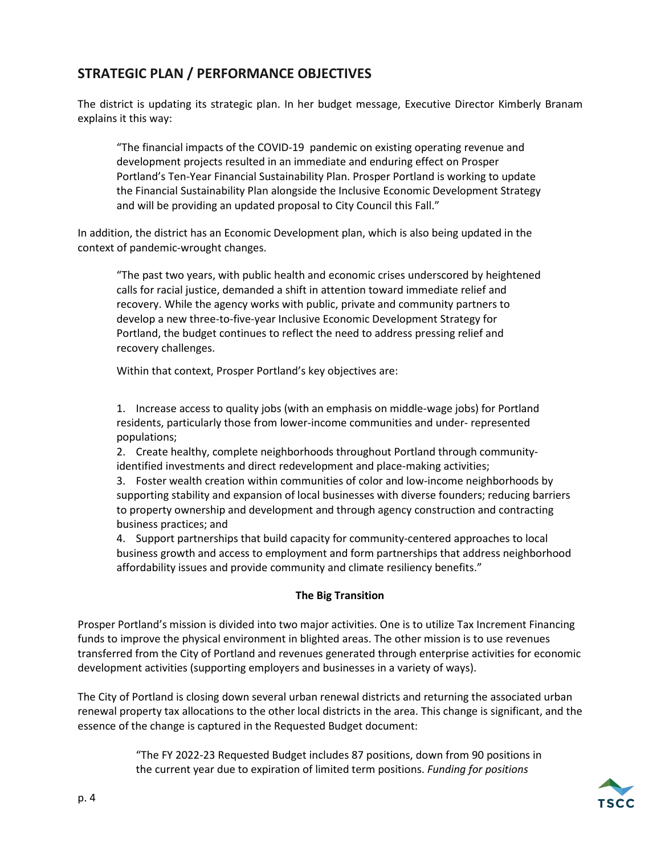## **STRATEGIC PLAN / PERFORMANCE OBJECTIVES**

The district is updating its strategic plan. In her budget message, Executive Director Kimberly Branam explains it this way:

"The financial impacts of the COVID-19 pandemic on existing operating revenue and development projects resulted in an immediate and enduring effect on Prosper Portland's Ten-Year Financial Sustainability Plan. Prosper Portland is working to update the Financial Sustainability Plan alongside the Inclusive Economic Development Strategy and will be providing an updated proposal to City Council this Fall."

In addition, the district has an Economic Development plan, which is also being updated in the context of pandemic-wrought changes.

"The past two years, with public health and economic crises underscored by heightened calls for racial justice, demanded a shift in attention toward immediate relief and recovery. While the agency works with public, private and community partners to develop a new three-to-five-year Inclusive Economic Development Strategy for Portland, the budget continues to reflect the need to address pressing relief and recovery challenges.

Within that context, Prosper Portland's key objectives are:

1. Increase access to quality jobs (with an emphasis on middle-wage jobs) for Portland residents, particularly those from lower-income communities and under- represented populations;

2. Create healthy, complete neighborhoods throughout Portland through communityidentified investments and direct redevelopment and place-making activities;

3. Foster wealth creation within communities of color and low-income neighborhoods by supporting stability and expansion of local businesses with diverse founders; reducing barriers to property ownership and development and through agency construction and contracting business practices; and

4. Support partnerships that build capacity for community-centered approaches to local business growth and access to employment and form partnerships that address neighborhood affordability issues and provide community and climate resiliency benefits."

#### **The Big Transition**

Prosper Portland's mission is divided into two major activities. One is to utilize Tax Increment Financing funds to improve the physical environment in blighted areas. The other mission is to use revenues transferred from the City of Portland and revenues generated through enterprise activities for economic development activities (supporting employers and businesses in a variety of ways).

The City of Portland is closing down several urban renewal districts and returning the associated urban renewal property tax allocations to the other local districts in the area. This change is significant, and the essence of the change is captured in the Requested Budget document:

> "The FY 2022-23 Requested Budget includes 87 positions, down from 90 positions in the current year due to expiration of limited term positions. *Funding for positions*

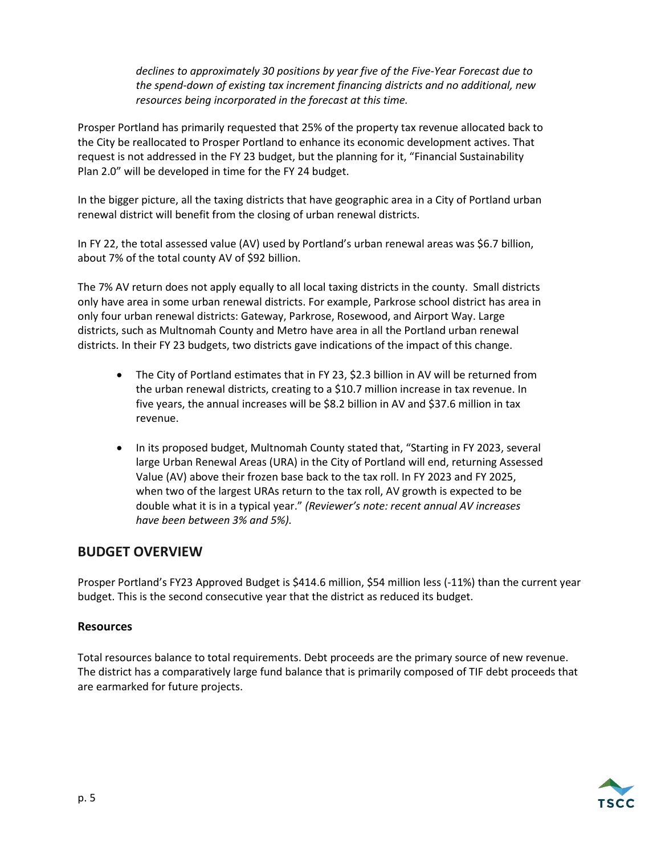*declines to approximately 30 positions by year five of the Five-Year Forecast due to the spend-down of existing tax increment financing districts and no additional, new resources being incorporated in the forecast at this time.*

Prosper Portland has primarily requested that 25% of the property tax revenue allocated back to the City be reallocated to Prosper Portland to enhance its economic development actives. That request is not addressed in the FY 23 budget, but the planning for it, "Financial Sustainability Plan 2.0" will be developed in time for the FY 24 budget.

In the bigger picture, all the taxing districts that have geographic area in a City of Portland urban renewal district will benefit from the closing of urban renewal districts.

In FY 22, the total assessed value (AV) used by Portland's urban renewal areas was \$6.7 billion, about 7% of the total county AV of \$92 billion.

The 7% AV return does not apply equally to all local taxing districts in the county. Small districts only have area in some urban renewal districts. For example, Parkrose school district has area in only four urban renewal districts: Gateway, Parkrose, Rosewood, and Airport Way. Large districts, such as Multnomah County and Metro have area in all the Portland urban renewal districts. In their FY 23 budgets, two districts gave indications of the impact of this change.

- The City of Portland estimates that in FY 23, \$2.3 billion in AV will be returned from the urban renewal districts, creating to a \$10.7 million increase in tax revenue. In five years, the annual increases will be \$8.2 billion in AV and \$37.6 million in tax revenue.
- In its proposed budget, Multnomah County stated that, "Starting in FY 2023, several large Urban Renewal Areas (URA) in the City of Portland will end, returning Assessed Value (AV) above their frozen base back to the tax roll. In FY 2023 and FY 2025, when two of the largest URAs return to the tax roll, AV growth is expected to be double what it is in a typical year." *(Reviewer's note: recent annual AV increases have been between 3% and 5%).*

## **BUDGET OVERVIEW**

Prosper Portland's FY23 Approved Budget is \$414.6 million, \$54 million less (-11%) than the current year budget. This is the second consecutive year that the district as reduced its budget.

#### **Resources**

Total resources balance to total requirements. Debt proceeds are the primary source of new revenue. The district has a comparatively large fund balance that is primarily composed of TIF debt proceeds that are earmarked for future projects.

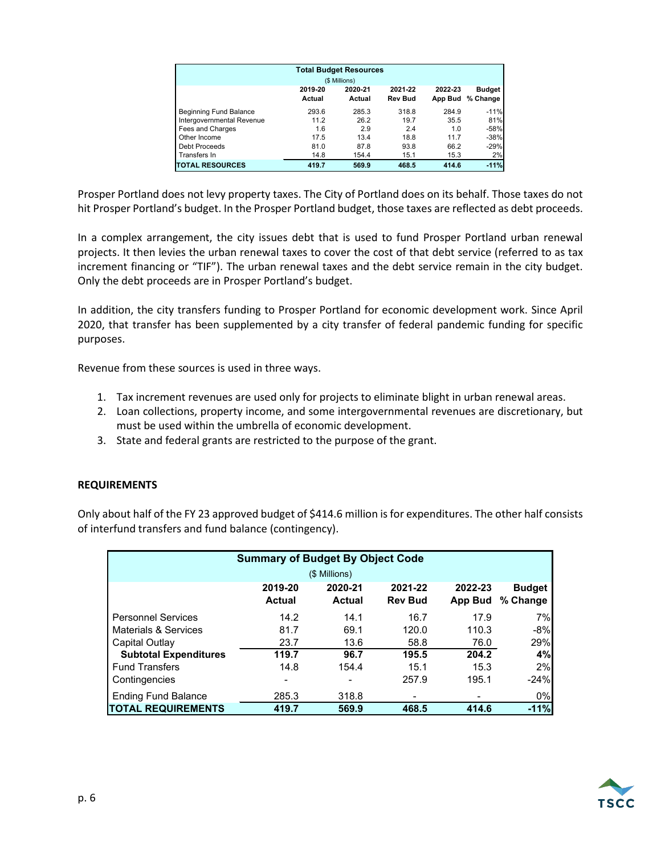| <b>Total Budget Resources</b><br>(\$ Millions) |                   |                   |                           |                    |                           |  |
|------------------------------------------------|-------------------|-------------------|---------------------------|--------------------|---------------------------|--|
|                                                | 2019-20<br>Actual | 2020-21<br>Actual | 2021-22<br><b>Rev Bud</b> | 2022-23<br>App Bud | <b>Budget</b><br>% Change |  |
| Beginning Fund Balance                         | 293.6             | 285.3             | 318.8                     | 284.9              | $-11%$                    |  |
| Intergovernmental Revenue                      | 11.2              | 26.2              | 19.7                      | 35.5               | 81%                       |  |
| Fees and Charges                               | 1.6               | 2.9               | 2.4                       | 1.0                | $-58%$                    |  |
| Other Income                                   | 17.5              | 13.4              | 18.8                      | 11.7               | $-38%$                    |  |
| Debt Proceeds                                  | 81.0              | 87.8              | 93.8                      | 66.2               | $-29%$                    |  |
| Transfers In                                   | 14.8              | 154.4             | 15.1                      | 15.3               | 2%                        |  |
| <b>TOTAL RESOURCES</b>                         | 419.7             | 569.9             | 468.5                     | 414.6              | $-11%$                    |  |

Prosper Portland does not levy property taxes. The City of Portland does on its behalf. Those taxes do not hit Prosper Portland's budget. In the Prosper Portland budget, those taxes are reflected as debt proceeds.

In a complex arrangement, the city issues debt that is used to fund Prosper Portland urban renewal projects. It then levies the urban renewal taxes to cover the cost of that debt service (referred to as tax increment financing or "TIF"). The urban renewal taxes and the debt service remain in the city budget. Only the debt proceeds are in Prosper Portland's budget.

In addition, the city transfers funding to Prosper Portland for economic development work. Since April 2020, that transfer has been supplemented by a city transfer of federal pandemic funding for specific purposes.

Revenue from these sources is used in three ways.

- 1. Tax increment revenues are used only for projects to eliminate blight in urban renewal areas.
- 2. Loan collections, property income, and some intergovernmental revenues are discretionary, but must be used within the umbrella of economic development.
- 3. State and federal grants are restricted to the purpose of the grant.

#### **REQUIREMENTS**

Only about half of the FY 23 approved budget of \$414.6 million is for expenditures. The other half consists of interfund transfers and fund balance (contingency).

| <b>Summary of Budget By Object Code</b> |                   |                          |                           |                    |                           |  |  |  |  |
|-----------------------------------------|-------------------|--------------------------|---------------------------|--------------------|---------------------------|--|--|--|--|
| (\$ Millions)                           |                   |                          |                           |                    |                           |  |  |  |  |
|                                         | 2019-20<br>Actual | 2020-21<br><b>Actual</b> | 2021-22<br><b>Rev Bud</b> | 2022-23<br>App Bud | <b>Budget</b><br>% Change |  |  |  |  |
| <b>Personnel Services</b>               | 14.2              | 14.1                     | 16.7                      | 17.9               | 7%                        |  |  |  |  |
| Materials & Services                    | 81.7              | 69.1                     | 120.0                     | 110.3              | $-8%$                     |  |  |  |  |
| Capital Outlay                          | 23.7              | 13.6                     | 58.8                      | 76.0               | 29%                       |  |  |  |  |
| <b>Subtotal Expenditures</b>            | 119.7             | 96.7                     | 195.5                     | 204.2              | 4%                        |  |  |  |  |
| <b>Fund Transfers</b>                   | 14.8              | 154.4                    | 15.1                      | 15.3               | 2%                        |  |  |  |  |
| Contingencies                           |                   |                          | 257.9                     | 195.1              | $-24%$                    |  |  |  |  |
| <b>Ending Fund Balance</b>              | 285.3             | 318.8                    |                           |                    | $0\%$                     |  |  |  |  |
| <b>TOTAL REQUIREMENTS</b>               | 419.7             | 569.9                    | 468.5                     | 414.6              | $-11%$                    |  |  |  |  |

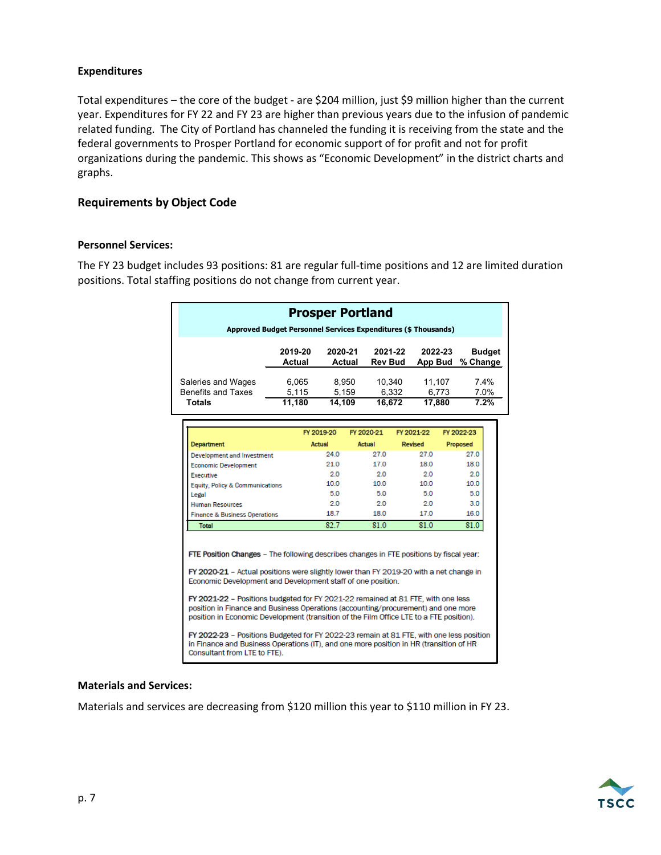#### **Expenditures**

Total expenditures – the core of the budget - are \$204 million, just \$9 million higher than the current year. Expenditures for FY 22 and FY 23 are higher than previous years due to the infusion of pandemic related funding. The City of Portland has channeled the funding it is receiving from the state and the federal governments to Prosper Portland for economic support of for profit and not for profit organizations during the pandemic. This shows as "Economic Development" in the district charts and graphs.

#### **Requirements by Object Code**

#### **Personnel Services:**

The FY 23 budget includes 93 positions: 81 are regular full-time positions and 12 are limited duration positions. Total staffing positions do not change from current year.

| <b>Prosper Portland</b>                                                                                                                                                                                                                                          |                   |                |                                     |                |                     |               |  |  |
|------------------------------------------------------------------------------------------------------------------------------------------------------------------------------------------------------------------------------------------------------------------|-------------------|----------------|-------------------------------------|----------------|---------------------|---------------|--|--|
| Approved Budget Personnel Services Expenditures (\$ Thousands)                                                                                                                                                                                                   |                   |                |                                     |                |                     |               |  |  |
|                                                                                                                                                                                                                                                                  | 2019-20<br>Actual | 2020-21        | 2021-22<br>Actual<br><b>Rev Bud</b> | App Bud        | 2022-23<br>% Change | <b>Budget</b> |  |  |
| Saleries and Wages<br><b>Benefits and Taxes</b>                                                                                                                                                                                                                  | 6,065<br>5,115    | 8,950<br>5.159 | 10,340                              | 6.332          | 11.107<br>6.773     | 74%<br>7.0%   |  |  |
| <b>Totals</b>                                                                                                                                                                                                                                                    | 11,180            | 14,109         | 16,672                              | 17,880         |                     | 7.2%          |  |  |
|                                                                                                                                                                                                                                                                  |                   | FY 2019-20     | FY 2020-21                          | FY 2021-22     | FY 2022-23          |               |  |  |
| <b>Department</b>                                                                                                                                                                                                                                                |                   | Actual         | Actual                              | <b>Revised</b> | Proposed            |               |  |  |
| Development and Investment                                                                                                                                                                                                                                       |                   | 24.0           | 27.0                                | 27.0           | 27.0                |               |  |  |
| <b>Economic Development</b>                                                                                                                                                                                                                                      |                   | 21.0           | 17.0                                | 180            | 180                 |               |  |  |
| Executive                                                                                                                                                                                                                                                        |                   | 2.0            | 20                                  | 2.0            | 20                  |               |  |  |
| Equity, Policy & Communications                                                                                                                                                                                                                                  |                   | 100            | 10 O                                | 100            | 100                 |               |  |  |
| Legal                                                                                                                                                                                                                                                            |                   | 5.0            | 50                                  | 5.0            | 5.0                 |               |  |  |
| <b>Human Resources</b>                                                                                                                                                                                                                                           |                   | 2.0            | 20                                  | 20             | 3.0                 |               |  |  |
| <b>Finance &amp; Business Operations</b>                                                                                                                                                                                                                         |                   | 18.7           | 18.0                                | 17.0           | 16.0                |               |  |  |
| <b>Total</b>                                                                                                                                                                                                                                                     |                   | 82.7           | 81.0                                | 81.0           | 81.0                |               |  |  |
| FTE Position Changes - The following describes changes in FTE positions by fiscal year:<br>FY 2020-21 - Actual positions were slightly lower than FY 2019-20 with a net change in<br>Economic Development and Development staff of one position.                 |                   |                |                                     |                |                     |               |  |  |
| FY 2021-22 - Positions budgeted for FY 2021-22 remained at 81 FTE, with one less<br>position in Finance and Business Operations (accounting/procurement) and one more<br>position in Economic Development (transition of the Film Office LTE to a FTE position). |                   |                |                                     |                |                     |               |  |  |
| FY 2022-23 - Positions Budgeted for FY 2022-23 remain at 81 FTE, with one less position<br>in Finance and Business Operations (IT), and one more position in HR (transition of HR<br>Consultant from LTE to FTE).                                                |                   |                |                                     |                |                     |               |  |  |

#### **Materials and Services:**

Materials and services are decreasing from \$120 million this year to \$110 million in FY 23.

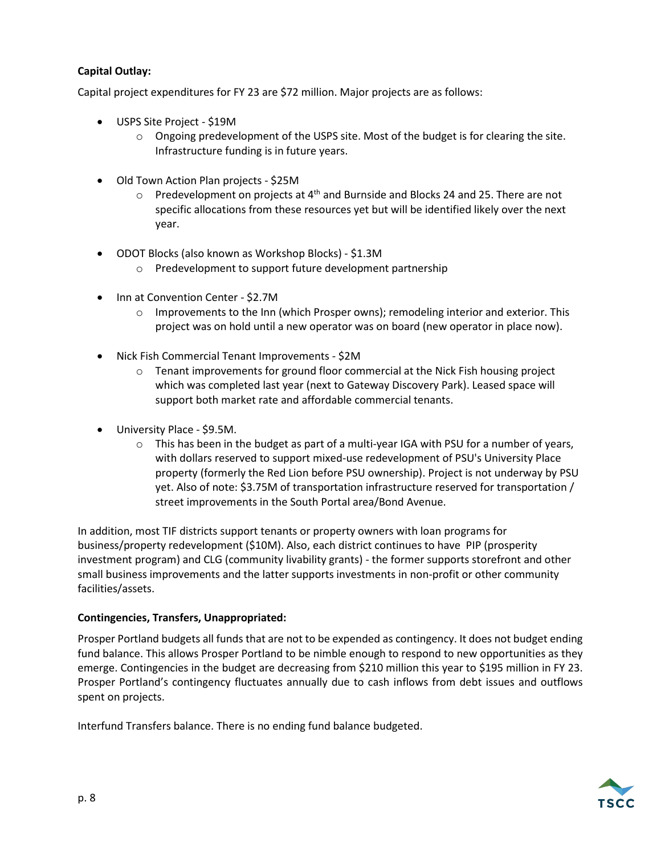### **Capital Outlay:**

Capital project expenditures for FY 23 are \$72 million. Major projects are as follows:

- USPS Site Project \$19M
	- $\circ$  Ongoing predevelopment of the USPS site. Most of the budget is for clearing the site. Infrastructure funding is in future years.
- Old Town Action Plan projects \$25M
	- $\circ$  Predevelopment on projects at 4<sup>th</sup> and Burnside and Blocks 24 and 25. There are not specific allocations from these resources yet but will be identified likely over the next year.
- ODOT Blocks (also known as Workshop Blocks) \$1.3M
	- o Predevelopment to support future development partnership
- Inn at Convention Center \$2.7M
	- $\circ$  Improvements to the Inn (which Prosper owns); remodeling interior and exterior. This project was on hold until a new operator was on board (new operator in place now).
- Nick Fish Commercial Tenant Improvements \$2M
	- $\circ$  Tenant improvements for ground floor commercial at the Nick Fish housing project which was completed last year (next to Gateway Discovery Park). Leased space will support both market rate and affordable commercial tenants.
- University Place \$9.5M.
	- $\circ$  This has been in the budget as part of a multi-year IGA with PSU for a number of years, with dollars reserved to support mixed-use redevelopment of PSU's University Place property (formerly the Red Lion before PSU ownership). Project is not underway by PSU yet. Also of note: \$3.75M of transportation infrastructure reserved for transportation / street improvements in the South Portal area/Bond Avenue.

In addition, most TIF districts support tenants or property owners with loan programs for business/property redevelopment (\$10M). Also, each district continues to have PIP (prosperity investment program) and CLG (community livability grants) - the former supports storefront and other small business improvements and the latter supports investments in non-profit or other community facilities/assets.

#### **Contingencies, Transfers, Unappropriated:**

Prosper Portland budgets all funds that are not to be expended as contingency. It does not budget ending fund balance. This allows Prosper Portland to be nimble enough to respond to new opportunities as they emerge. Contingencies in the budget are decreasing from \$210 million this year to \$195 million in FY 23. Prosper Portland's contingency fluctuates annually due to cash inflows from debt issues and outflows spent on projects.

Interfund Transfers balance. There is no ending fund balance budgeted.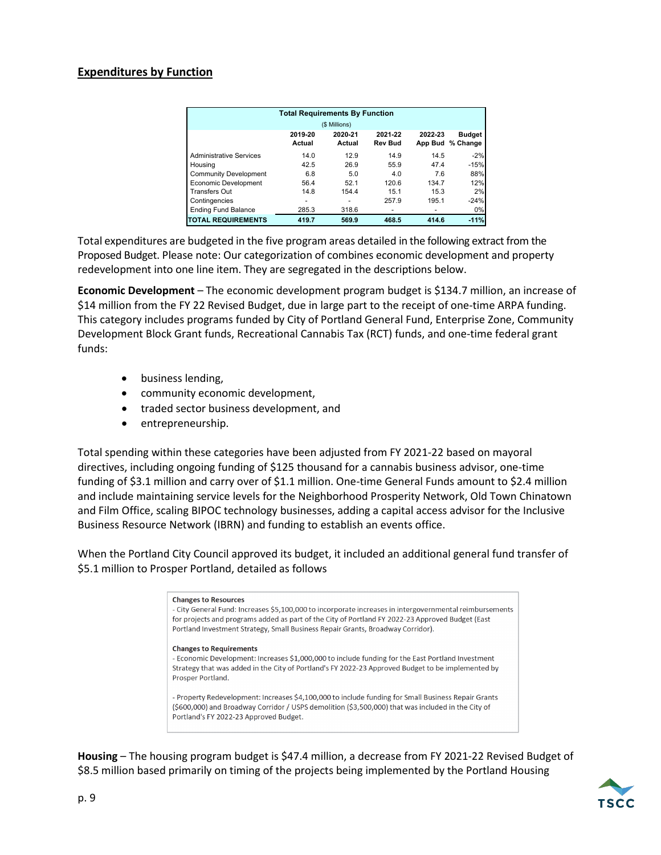#### **Expenditures by Function**

| <b>Total Requirements By Function</b> |                   |                   |                           |                    |                           |  |  |  |
|---------------------------------------|-------------------|-------------------|---------------------------|--------------------|---------------------------|--|--|--|
|                                       |                   | (\$ Millions)     |                           |                    |                           |  |  |  |
|                                       | 2019-20<br>Actual | 2020-21<br>Actual | 2021-22<br><b>Rev Bud</b> | 2022-23<br>App Bud | <b>Budget</b><br>% Change |  |  |  |
| <b>Administrative Services</b>        | 14.0              | 12.9              | 14.9                      | 14.5               | $-2%$                     |  |  |  |
| Housing                               | 42.5              | 26.9              | 55.9                      | 47.4               | $-15%$                    |  |  |  |
| <b>Community Development</b>          | 6.8               | 5.0               | 4.0                       | 7.6                | 88%                       |  |  |  |
| <b>Economic Development</b>           | 56.4              | 52.1              | 120.6                     | 134.7              | 12%                       |  |  |  |
| Transfers Out                         | 14.8              | 154.4             | 15.1                      | 15.3               | 2%                        |  |  |  |
| Contingencies                         | -                 |                   | 257.9                     | 195.1              | $-24%$                    |  |  |  |
| <b>Ending Fund Balance</b>            | 285.3             | 318.6             |                           |                    | 0%                        |  |  |  |
| <b>TOTAL REQUIREMENTS</b>             | 419.7             | 569.9             | 468.5                     | 414.6              | $-11%$                    |  |  |  |

Total expenditures are budgeted in the five program areas detailed in the following extract from the Proposed Budget. Please note: Our categorization of combines economic development and property redevelopment into one line item. They are segregated in the descriptions below.

**Economic Development** – The economic development program budget is \$134.7 million, an increase of \$14 million from the FY 22 Revised Budget, due in large part to the receipt of one-time ARPA funding. This category includes programs funded by City of Portland General Fund, Enterprise Zone, Community Development Block Grant funds, Recreational Cannabis Tax (RCT) funds, and one-time federal grant funds:

- business lending,
- community economic development,
- traded sector business development, and
- entrepreneurship.

Total spending within these categories have been adjusted from FY 2021-22 based on mayoral directives, including ongoing funding of \$125 thousand for a cannabis business advisor, one-time funding of \$3.1 million and carry over of \$1.1 million. One-time General Funds amount to \$2.4 million and include maintaining service levels for the Neighborhood Prosperity Network, Old Town Chinatown and Film Office, scaling BIPOC technology businesses, adding a capital access advisor for the Inclusive Business Resource Network (IBRN) and funding to establish an events office.

When the Portland City Council approved its budget, it included an additional general fund transfer of \$5.1 million to Prosper Portland, detailed as follows

#### **Changes to Resources** - City General Fund: Increases \$5,100,000 to incorporate increases in intergovernmental reimbursements for projects and programs added as part of the City of Portland FY 2022-23 Approved Budget (East Portland Investment Strategy, Small Business Repair Grants, Broadway Corridor). **Changes to Requirements** - Economic Development: Increases \$1,000,000 to include funding for the East Portland Investment Strategy that was added in the City of Portland's FY 2022-23 Approved Budget to be implemented by Prosper Portland. - Property Redevelopment: Increases \$4,100,000 to include funding for Small Business Repair Grants (\$600,000) and Broadway Corridor / USPS demolition (\$3,500,000) that was included in the City of Portland's FY 2022-23 Approved Budget.

**Housing** – The housing program budget is \$47.4 million, a decrease from FY 2021-22 Revised Budget of \$8.5 million based primarily on timing of the projects being implemented by the Portland Housing

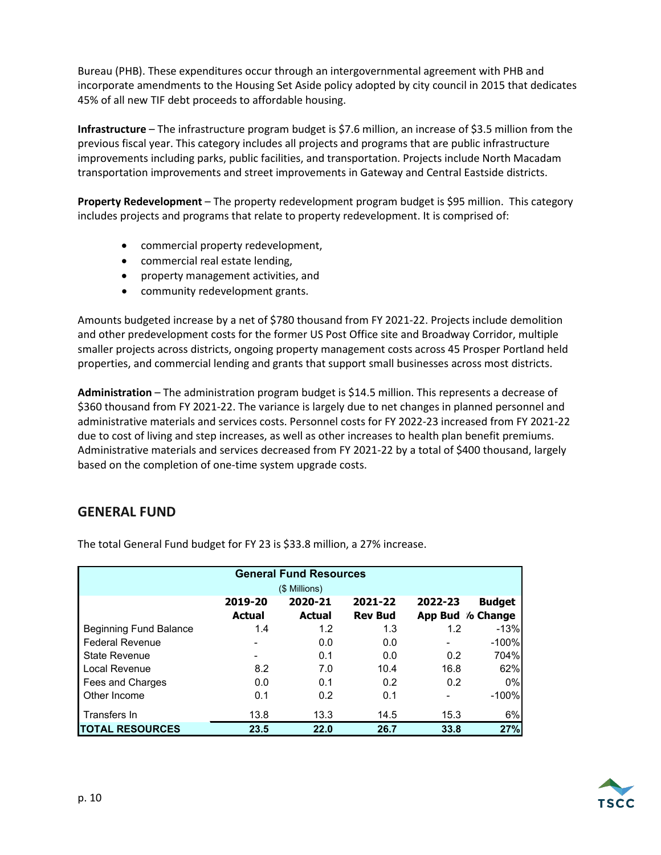Bureau (PHB). These expenditures occur through an intergovernmental agreement with PHB and incorporate amendments to the Housing Set Aside policy adopted by city council in 2015 that dedicates 45% of all new TIF debt proceeds to affordable housing.

**Infrastructure** – The infrastructure program budget is \$7.6 million, an increase of \$3.5 million from the previous fiscal year. This category includes all projects and programs that are public infrastructure improvements including parks, public facilities, and transportation. Projects include North Macadam transportation improvements and street improvements in Gateway and Central Eastside districts.

**Property Redevelopment** – The property redevelopment program budget is \$95 million. This category includes projects and programs that relate to property redevelopment. It is comprised of:

- commercial property redevelopment,
- commercial real estate lending,
- property management activities, and
- community redevelopment grants.

Amounts budgeted increase by a net of \$780 thousand from FY 2021-22. Projects include demolition and other predevelopment costs for the former US Post Office site and Broadway Corridor, multiple smaller projects across districts, ongoing property management costs across 45 Prosper Portland held properties, and commercial lending and grants that support small businesses across most districts.

**Administration** – The administration program budget is \$14.5 million. This represents a decrease of \$360 thousand from FY 2021-22. The variance is largely due to net changes in planned personnel and administrative materials and services costs. Personnel costs for FY 2022-23 increased from FY 2021-22 due to cost of living and step increases, as well as other increases to health plan benefit premiums. Administrative materials and services decreased from FY 2021-22 by a total of \$400 thousand, largely based on the completion of one-time system upgrade costs.

### **GENERAL FUND**

| <b>General Fund Resources</b> |               |               |                |         |                  |  |  |  |  |
|-------------------------------|---------------|---------------|----------------|---------|------------------|--|--|--|--|
| (\$ Millions)                 |               |               |                |         |                  |  |  |  |  |
|                               | 2019-20       | 2020-21       | 2021-22        | 2022-23 | <b>Budget</b>    |  |  |  |  |
|                               | <b>Actual</b> | <b>Actual</b> | <b>Rev Bud</b> |         | App Bud % Change |  |  |  |  |
| <b>Beginning Fund Balance</b> | 1.4           | 1.2           | 1.3            | 1.2     | $-13%$           |  |  |  |  |
| <b>Federal Revenue</b>        |               | 0.0           | 0.0            |         | $-100%$          |  |  |  |  |
| <b>State Revenue</b>          |               | 0.1           | 0.0            | 0.2     | 704%             |  |  |  |  |
| Local Revenue                 | 8.2           | 7.0           | 10.4           | 16.8    | 62%              |  |  |  |  |
| Fees and Charges              | 0.0           | 0.1           | 0.2            | 0.2     | 0%               |  |  |  |  |
| Other Income                  | 0.1           | 0.2           | 0.1            |         | $-100%$          |  |  |  |  |
| Transfers In                  | 13.8          | 13.3          | 14.5           | 15.3    | 6%               |  |  |  |  |
| <b>TOTAL RESOURCES</b>        | 23.5          | 22.0          | 26.7           | 33.8    | 27%              |  |  |  |  |

The total General Fund budget for FY 23 is \$33.8 million, a 27% increase.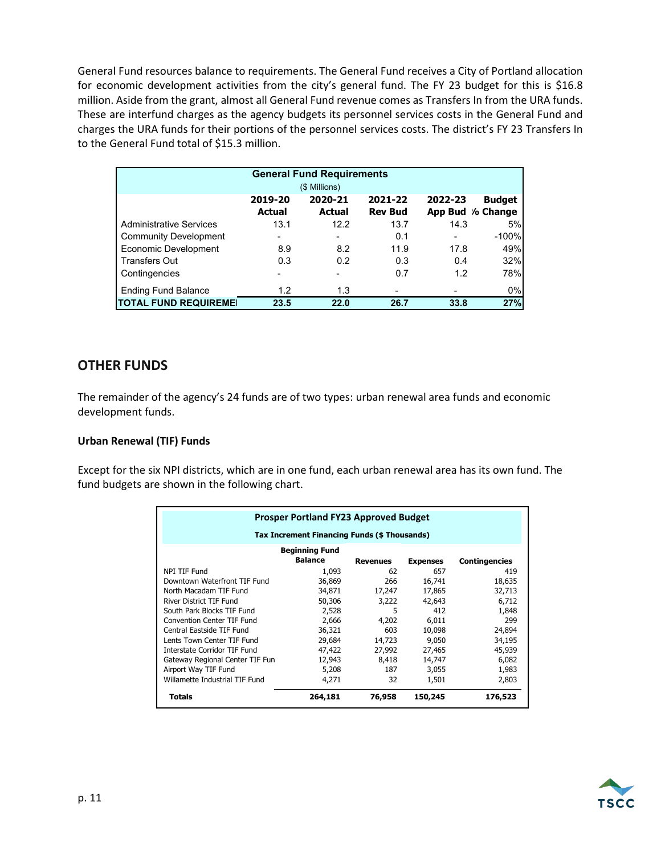General Fund resources balance to requirements. The General Fund receives a City of Portland allocation for economic development activities from the city's general fund. The FY 23 budget for this is \$16.8 million. Aside from the grant, almost all General Fund revenue comes as Transfers In from the URA funds. These are interfund charges as the agency budgets its personnel services costs in the General Fund and charges the URA funds for their portions of the personnel services costs. The district's FY 23 Transfers In to the General Fund total of \$15.3 million.

| <b>General Fund Requirements</b> |                          |         |                |         |                  |  |  |  |  |
|----------------------------------|--------------------------|---------|----------------|---------|------------------|--|--|--|--|
|                                  | (\$ Millions)            |         |                |         |                  |  |  |  |  |
|                                  | 2019-20                  | 2020-21 | 2021-22        | 2022-23 | <b>Budget</b>    |  |  |  |  |
|                                  | Actual                   | Actual  | <b>Rev Bud</b> |         | App Bud / Change |  |  |  |  |
| <b>Administrative Services</b>   | 13.1                     | 12.2    | 13.7           | 14.3    | 5%               |  |  |  |  |
| <b>Community Development</b>     | $\overline{\phantom{0}}$ |         | 0.1            | ٠       | $-100%$          |  |  |  |  |
| Economic Development             | 8.9                      | 8.2     | 11.9           | 17.8    | 49%              |  |  |  |  |
| <b>Transfers Out</b>             | 0.3                      | 0.2     | 0.3            | 0.4     | 32%              |  |  |  |  |
| Contingencies                    |                          |         | 0.7            | 1.2     | 78%              |  |  |  |  |
| <b>Ending Fund Balance</b>       | 1.2                      | 1.3     |                |         | 0%               |  |  |  |  |
| <b>TOTAL FUND REQUIREME!</b>     | 23.5                     | 22.0    | 26.7           | 33.8    | 27%              |  |  |  |  |

## **OTHER FUNDS**

The remainder of the agency's 24 funds are of two types: urban renewal area funds and economic development funds.

#### **Urban Renewal (TIF) Funds**

Except for the six NPI districts, which are in one fund, each urban renewal area has its own fund. The fund budgets are shown in the following chart.

| <b>Prosper Portland FY23 Approved Budget</b> |                |                 |                 |                      |  |  |  |  |
|----------------------------------------------|----------------|-----------------|-----------------|----------------------|--|--|--|--|
| Tax Increment Financing Funds (\$ Thousands) |                |                 |                 |                      |  |  |  |  |
| <b>Beginning Fund</b>                        |                |                 |                 |                      |  |  |  |  |
|                                              | <b>Balance</b> | <b>Revenues</b> | <b>Expenses</b> | <b>Contingencies</b> |  |  |  |  |
| NPI TIF Fund                                 | 1,093          | 62              | 657             | 419                  |  |  |  |  |
| Downtown Waterfront TIF Fund                 | 36,869         | 266             | 16,741          | 18,635               |  |  |  |  |
| North Macadam TIF Fund                       | 34,871         | 17,247          | 17,865          | 32,713               |  |  |  |  |
| River District TIF Fund                      | 50,306         | 3,222           | 42,643          | 6,712                |  |  |  |  |
| South Park Blocks TIF Fund                   | 2,528          | 5               | 412             | 1,848                |  |  |  |  |
| Convention Center TIF Fund                   | 2,666          | 4,202           | 6,011           | 299                  |  |  |  |  |
| Central Eastside TIF Fund                    | 36,321         | 603             | 10,098          | 24,894               |  |  |  |  |
| Lents Town Center TIF Fund                   | 29,684         | 14,723          | 9,050           | 34,195               |  |  |  |  |
| Interstate Corridor TIF Fund                 | 47,422         | 27,992          | 27,465          | 45,939               |  |  |  |  |
| Gateway Regional Center TIF Fun              | 12,943         | 8,418           | 14,747          | 6,082                |  |  |  |  |
| Airport Way TIF Fund                         | 5,208          | 187             | 3,055           | 1,983                |  |  |  |  |
| Willamette Industrial TIF Fund               | 4,271          | 32              | 1,501           | 2,803                |  |  |  |  |
| <b>Totals</b>                                | 264,181        | 76,958          | 150,245         | 176,523              |  |  |  |  |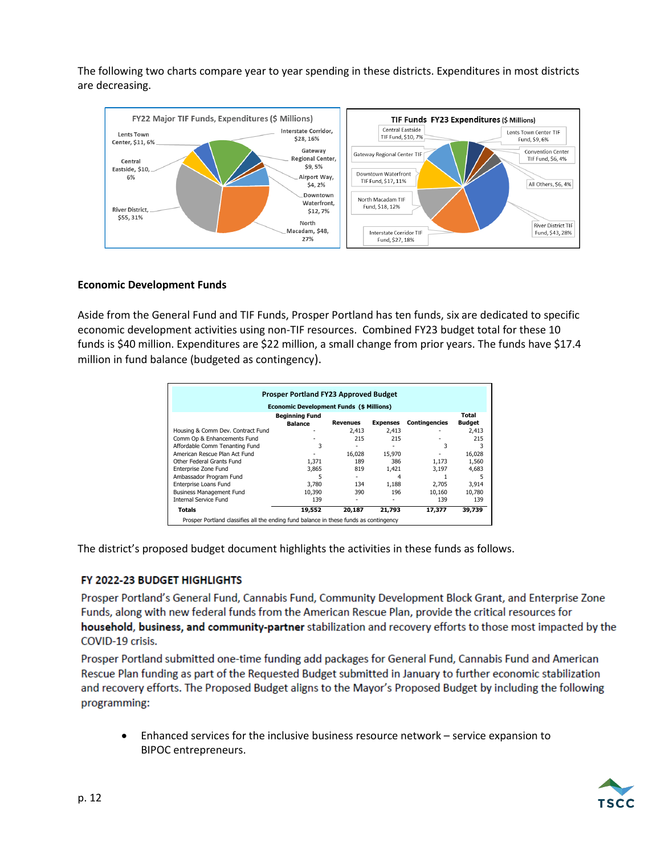The following two charts compare year to year spending in these districts. Expenditures in most districts are decreasing.



#### **Economic Development Funds**

Aside from the General Fund and TIF Funds, Prosper Portland has ten funds, six are dedicated to specific economic development activities using non-TIF resources. Combined FY23 budget total for these 10 funds is \$40 million. Expenditures are \$22 million, a small change from prior years. The funds have \$17.4 million in fund balance (budgeted as contingency).

| Prosper Portland FY23 Approved Budget                                                 |                       |                 |                 |                      |               |  |  |  |
|---------------------------------------------------------------------------------------|-----------------------|-----------------|-----------------|----------------------|---------------|--|--|--|
| <b>Economic Development Funds (\$ Millions)</b>                                       |                       |                 |                 |                      |               |  |  |  |
|                                                                                       | <b>Beginning Fund</b> |                 |                 |                      | Total         |  |  |  |
|                                                                                       | <b>Balance</b>        | <b>Revenues</b> | <b>Expenses</b> | <b>Contingencies</b> | <b>Budget</b> |  |  |  |
| Housing & Comm Dev. Contract Fund                                                     |                       | 2.413           | 2.413           |                      | 2.413         |  |  |  |
| Comm Op & Enhancements Fund                                                           |                       | 215             | 215             |                      | 215           |  |  |  |
| Affordable Comm Tenanting Fund                                                        |                       |                 |                 | 3                    |               |  |  |  |
| American Rescue Plan Act Fund                                                         |                       | 16,028          | 15,970          |                      | 16,028        |  |  |  |
| Other Federal Grants Fund                                                             | 1.371                 | 189             | 386             | 1.173                | 1.560         |  |  |  |
| Enterprise Zone Fund                                                                  | 3,865                 | 819             | 1,421           | 3,197                | 4,683         |  |  |  |
| Ambassador Program Fund                                                               |                       |                 | 4               |                      |               |  |  |  |
| Enterprise Loans Fund                                                                 | 3.780                 | 134             | 1.188           | 2.705                | 3,914         |  |  |  |
| <b>Business Management Fund</b>                                                       | 10.390                | 390             | 196             | 10,160               | 10.780        |  |  |  |
| <b>Internal Service Fund</b>                                                          | 139                   |                 |                 | 139                  | 139           |  |  |  |
| Totals                                                                                | 19,552                | 20,187          | 21,793          | 17,377               | 39,739        |  |  |  |
| Prosper Portland classifies all the ending fund balance in these funds as contingency |                       |                 |                 |                      |               |  |  |  |

The district's proposed budget document highlights the activities in these funds as follows.

#### FY 2022-23 BUDGET HIGHLIGHTS

Prosper Portland's General Fund, Cannabis Fund, Community Development Block Grant, and Enterprise Zone Funds, along with new federal funds from the American Rescue Plan, provide the critical resources for household, business, and community-partner stabilization and recovery efforts to those most impacted by the COVID-19 crisis.

Prosper Portland submitted one-time funding add packages for General Fund, Cannabis Fund and American Rescue Plan funding as part of the Requested Budget submitted in January to further economic stabilization and recovery efforts. The Proposed Budget aligns to the Mayor's Proposed Budget by including the following programming:

• Enhanced services for the inclusive business resource network – service expansion to BIPOC entrepreneurs.

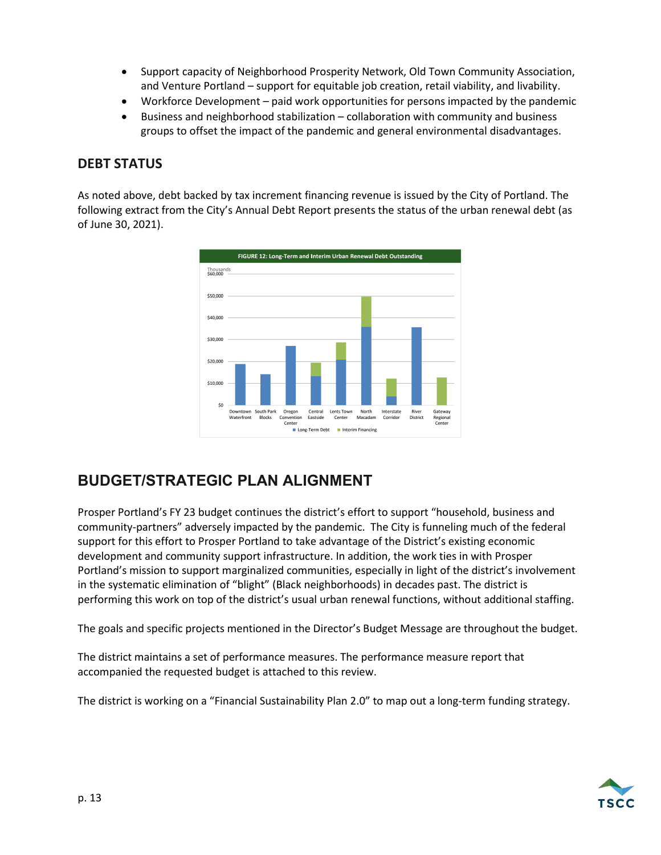- Support capacity of Neighborhood Prosperity Network, Old Town Community Association, and Venture Portland – support for equitable job creation, retail viability, and livability.
- Workforce Development paid work opportunities for persons impacted by the pandemic
- Business and neighborhood stabilization collaboration with community and business groups to offset the impact of the pandemic and general environmental disadvantages.

## **DEBT STATUS**

As noted above, debt backed by tax increment financing revenue is issued by the City of Portland. The following extract from the City's Annual Debt Report presents the status of the urban renewal debt (as of June 30, 2021).



## **BUDGET/STRATEGIC PLAN ALIGNMENT**

Prosper Portland's FY 23 budget continues the district's effort to support "household, business and community-partners" adversely impacted by the pandemic. The City is funneling much of the federal support for this effort to Prosper Portland to take advantage of the District's existing economic development and community support infrastructure. In addition, the work ties in with Prosper Portland's mission to support marginalized communities, especially in light of the district's involvement in the systematic elimination of "blight" (Black neighborhoods) in decades past. The district is performing this work on top of the district's usual urban renewal functions, without additional staffing.

The goals and specific projects mentioned in the Director's Budget Message are throughout the budget.

The district maintains a set of performance measures. The performance measure report that accompanied the requested budget is attached to this review.

The district is working on a "Financial Sustainability Plan 2.0" to map out a long-term funding strategy.

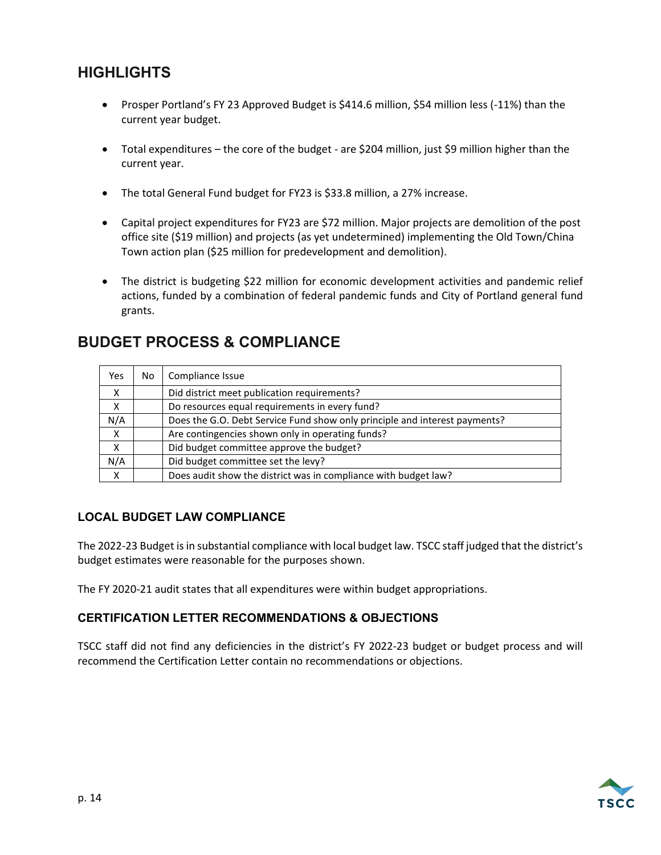## **HIGHLIGHTS**

- Prosper Portland's FY 23 Approved Budget is \$414.6 million, \$54 million less (-11%) than the current year budget.
- Total expenditures the core of the budget are \$204 million, just \$9 million higher than the current year.
- The total General Fund budget for FY23 is \$33.8 million, a 27% increase.
- Capital project expenditures for FY23 are \$72 million. Major projects are demolition of the post office site (\$19 million) and projects (as yet undetermined) implementing the Old Town/China Town action plan (\$25 million for predevelopment and demolition).
- The district is budgeting \$22 million for economic development activities and pandemic relief actions, funded by a combination of federal pandemic funds and City of Portland general fund grants.

## **BUDGET PROCESS & COMPLIANCE**

| Yes                       | No | Compliance Issue                                                           |
|---------------------------|----|----------------------------------------------------------------------------|
| $\boldsymbol{\mathsf{x}}$ |    | Did district meet publication requirements?                                |
| x                         |    | Do resources equal requirements in every fund?                             |
| N/A                       |    | Does the G.O. Debt Service Fund show only principle and interest payments? |
| X                         |    | Are contingencies shown only in operating funds?                           |
| X                         |    | Did budget committee approve the budget?                                   |
| N/A                       |    | Did budget committee set the levy?                                         |
| Χ                         |    | Does audit show the district was in compliance with budget law?            |

### **LOCAL BUDGET LAW COMPLIANCE**

The 2022-23 Budget is in substantial compliance with local budget law. TSCC staff judged that the district's budget estimates were reasonable for the purposes shown.

The FY 2020-21 audit states that all expenditures were within budget appropriations.

#### **CERTIFICATION LETTER RECOMMENDATIONS & OBJECTIONS**

TSCC staff did not find any deficiencies in the district's FY 2022-23 budget or budget process and will recommend the Certification Letter contain no recommendations or objections.